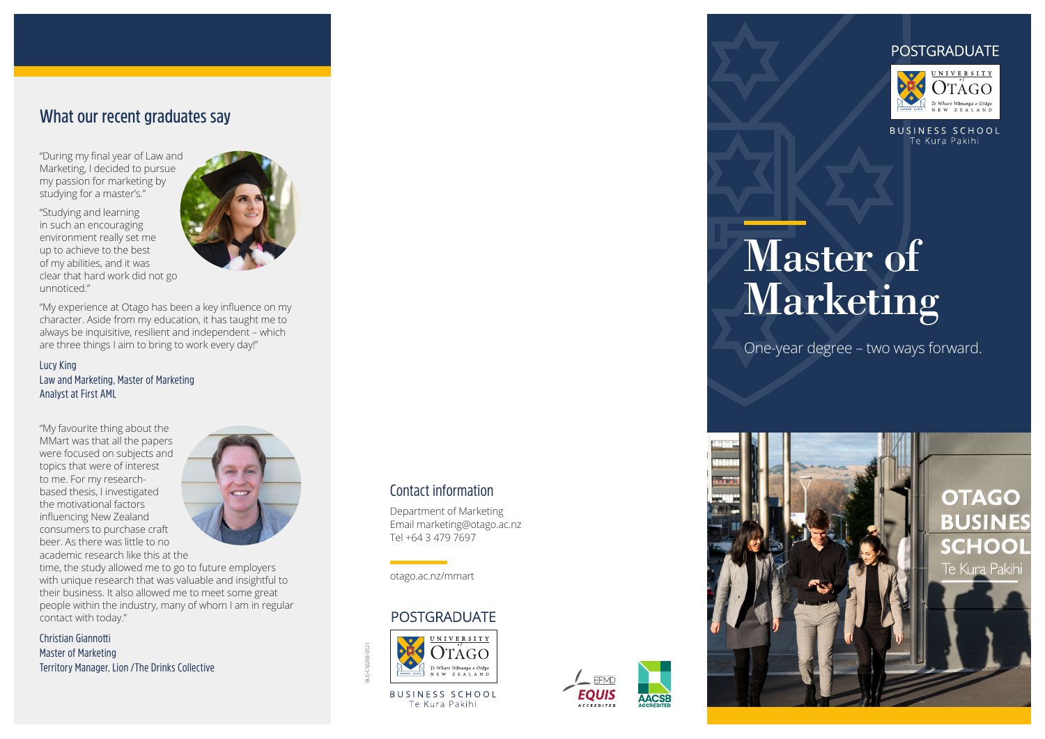## **What our recent graduates say**

"During my final year of Law and Marketing, I decided to pursue my passion for marketing by studying for a master's."

"Studying and learning in such an encouraging environment really set me up to achieve to the best of my abilities, and it was clear that hard work did not go unnoticed."



"My experience at Otago has been a key influence on my character. Aside from my education, it has taught me to always be inquisitive, resilient and independent – which are three things I aim to bring to work every day!"

#### Lucy King Law and Marketing, Master of Marketing Analyst at First AML

"My favourite thing about the MMart was that all the papers were focused on subjects and topics that were of interest to me. For my researchbased thesis, I investigated the motivational factors influencing New Zealand consumers to purchase craft beer. As there was little to no academic research like this at the



time, the study allowed me to go to future employers with unique research that was valuable and insightful to their business. It also allowed me to meet some great people within the industry, many of whom I am in regular contact with today."

Christian Giannotti Master of Marketing Territory Manager, Lion /The Drinks Collective

#### Contact information

Department of Marketing Email marketing@otago.ac.nz Tel +64 3 479 7697

otago.ac.nz/mmart

#### **POSTGRADUATE**



BUS-CS0268-0521

**BUSINESS SCHOOL** Te Kura Pakihi







**BUSINESS SCHOOL** Te Kura Pakihi

# Master of Marketing

One-year degree – two ways forward.